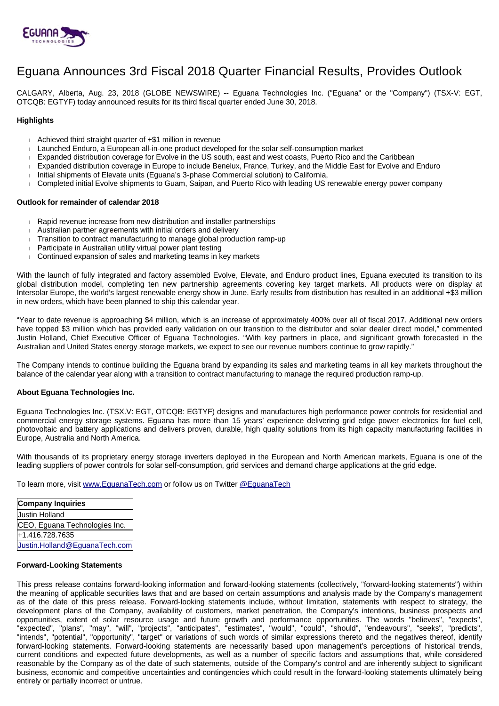

# Eguana Announces 3rd Fiscal 2018 Quarter Financial Results, Provides Outlook

CALGARY, Alberta, Aug. 23, 2018 (GLOBE NEWSWIRE) -- Eguana Technologies Inc. ("Eguana" or the "Company") (TSX-V: EGT, OTCQB: EGTYF) today announced results for its third fiscal quarter ended June 30, 2018.

## **Highlights**

- Achieved third straight quarter of +\$1 million in revenue
- Launched Enduro, a European all-in-one product developed for the solar self-consumption market
- Expanded distribution coverage for Evolve in the US south, east and west coasts, Puerto Rico and the Caribbean
- Expanded distribution coverage in Europe to include Benelux, France, Turkey, and the Middle East for Evolve and Enduro
- Initial shipments of Elevate units (Eguana's 3-phase Commercial solution) to California.
- Completed initial Evolve shipments to Guam, Saipan, and Puerto Rico with leading US renewable energy power company

#### **Outlook for remainder of calendar 2018**

- Rapid revenue increase from new distribution and installer partnerships
- Australian partner agreements with initial orders and delivery
- Transition to contract manufacturing to manage global production ramp-up
- Participate in Australian utility virtual power plant testing
- Continued expansion of sales and marketing teams in key markets

With the launch of fully integrated and factory assembled Evolve, Elevate, and Enduro product lines, Eguana executed its transition to its global distribution model, completing ten new partnership agreements covering key target markets. All products were on display at Intersolar Europe, the world's largest renewable energy show in June. Early results from distribution has resulted in an additional +\$3 million in new orders, which have been planned to ship this calendar year.

"Year to date revenue is approaching \$4 million, which is an increase of approximately 400% over all of fiscal 2017. Additional new orders have topped \$3 million which has provided early validation on our transition to the distributor and solar dealer direct model," commented Justin Holland, Chief Executive Officer of Eguana Technologies. "With key partners in place, and significant growth forecasted in the Australian and United States energy storage markets, we expect to see our revenue numbers continue to grow rapidly."

The Company intends to continue building the Eguana brand by expanding its sales and marketing teams in all key markets throughout the balance of the calendar year along with a transition to contract manufacturing to manage the required production ramp-up.

#### **About Eguana Technologies Inc.**

Eguana Technologies Inc. (TSX.V: EGT, OTCQB: EGTYF) designs and manufactures high performance power controls for residential and commercial energy storage systems. Eguana has more than 15 years' experience delivering grid edge power electronics for fuel cell, photovoltaic and battery applications and delivers proven, durable, high quality solutions from its high capacity manufacturing facilities in Europe, Australia and North America.

With thousands of its proprietary energy storage inverters deployed in the European and North American markets, Eguana is one of the leading suppliers of power controls for solar self-consumption, grid services and demand charge applications at the grid edge.

To learn more, visit [www.EguanaTech.com](http://www.eguanatech.com/) or follow us on Twitter [@EguanaTech](https://twitter.com/EguanaTech)

**Company Inquiries** Justin Holland CEO, Eguana Technologies Inc. +1.416.728.7635 [Justin.Holland@EguanaTech.com](mailto:Justin.Holland@EguanaTech.com)

### **Forward-Looking Statements**

This press release contains forward-looking information and forward-looking statements (collectively, "forward-looking statements") within the meaning of applicable securities laws that and are based on certain assumptions and analysis made by the Company's management as of the date of this press release. Forward-looking statements include, without limitation, statements with respect to strategy, the development plans of the Company, availability of customers, market penetration, the Company's intentions, business prospects and opportunities, extent of solar resource usage and future growth and performance opportunities. The words "believes", "expects", "expected", "plans", "may", "will", "projects", "anticipates", "estimates", "would", "could", "should", "endeavours", "seeks", "predicts", "intends", "potential", "opportunity", "target" or variations of such words of similar expressions thereto and the negatives thereof, identify forward-looking statements. Forward-looking statements are necessarily based upon management's perceptions of historical trends, current conditions and expected future developments, as well as a number of specific factors and assumptions that, while considered reasonable by the Company as of the date of such statements, outside of the Company's control and are inherently subject to significant business, economic and competitive uncertainties and contingencies which could result in the forward-looking statements ultimately being entirely or partially incorrect or untrue.